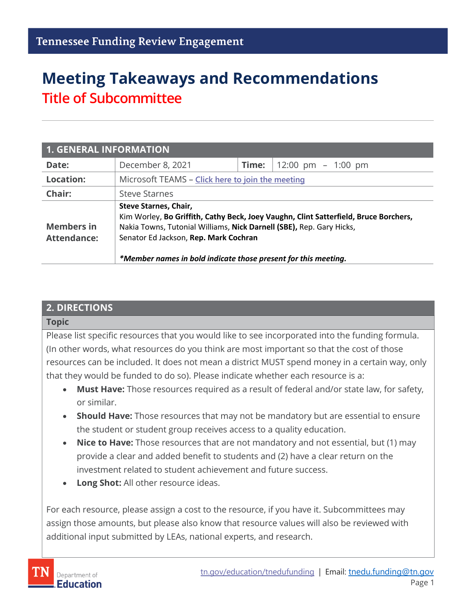# **Meeting Takeaways and Recommendations Title of Subcommittee**

| <b>1. GENERAL INFORMATION</b>           |                                                                                                                                                                                                                                                                                                  |       |                      |  |  |  |
|-----------------------------------------|--------------------------------------------------------------------------------------------------------------------------------------------------------------------------------------------------------------------------------------------------------------------------------------------------|-------|----------------------|--|--|--|
| Date:                                   | December 8, 2021                                                                                                                                                                                                                                                                                 | Time: | 12:00 pm $-$ 1:00 pm |  |  |  |
| <b>Location:</b>                        | Microsoft TEAMS - Click here to join the meeting                                                                                                                                                                                                                                                 |       |                      |  |  |  |
| Chair:                                  | <b>Steve Starnes</b>                                                                                                                                                                                                                                                                             |       |                      |  |  |  |
| <b>Members in</b><br><b>Attendance:</b> | Steve Starnes, Chair,<br>Kim Worley, Bo Griffith, Cathy Beck, Joey Vaughn, Clint Satterfield, Bruce Borchers,<br>Nakia Towns, Tutonial Williams, Nick Darnell (SBE), Rep. Gary Hicks,<br>Senator Ed Jackson, Rep. Mark Cochran<br>*Member names in bold indicate those present for this meeting. |       |                      |  |  |  |

#### **2. DIRECTIONS**

#### **Topic**

Please list specific resources that you would like to see incorporated into the funding formula. (In other words, what resources do you think are most important so that the cost of those resources can be included. It does not mean a district MUST spend money in a certain way, only that they would be funded to do so). Please indicate whether each resource is a:

- **Must Have:** Those resources required as a result of federal and/or state law, for safety, or similar.
- **Should Have:** Those resources that may not be mandatory but are essential to ensure the student or student group receives access to a quality education.
- **Nice to Have:** Those resources that are not mandatory and not essential, but (1) may provide a clear and added benefit to students and (2) have a clear return on the investment related to student achievement and future success.
- **Long Shot:** All other resource ideas.

For each resource, please assign a cost to the resource, if you have it. Subcommittees may assign those amounts, but please also know that resource values will also be reviewed with additional input submitted by LEAs, national experts, and research.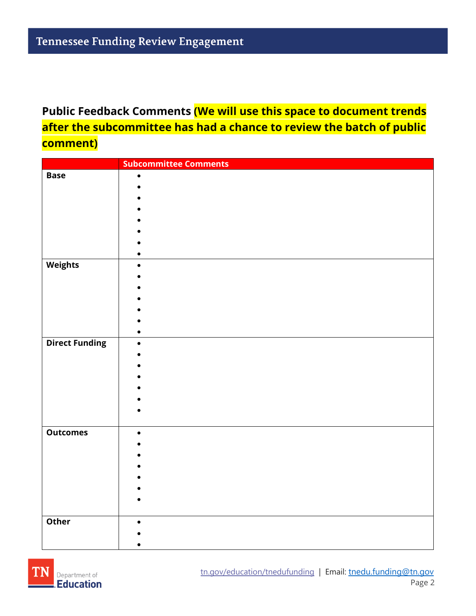# **Public Feedback Comments (We will use this space to document trends after the subcommittee has had a chance to review the batch of public comment)**

|                       | <b>Subcommittee Comments</b> |
|-----------------------|------------------------------|
| <b>Base</b>           | $\bullet$                    |
|                       |                              |
|                       |                              |
|                       |                              |
|                       |                              |
|                       |                              |
|                       |                              |
|                       |                              |
| <b>Weights</b>        | $\bullet$                    |
|                       |                              |
|                       |                              |
|                       |                              |
|                       |                              |
|                       |                              |
| <b>Direct Funding</b> | $\bullet$                    |
|                       |                              |
|                       |                              |
|                       |                              |
|                       |                              |
|                       |                              |
|                       |                              |
|                       |                              |
| <b>Outcomes</b>       | $\bullet$                    |
|                       |                              |
|                       |                              |
|                       |                              |
|                       |                              |
|                       |                              |
|                       |                              |
|                       |                              |
| Other                 | $\bullet$                    |
|                       |                              |
|                       |                              |

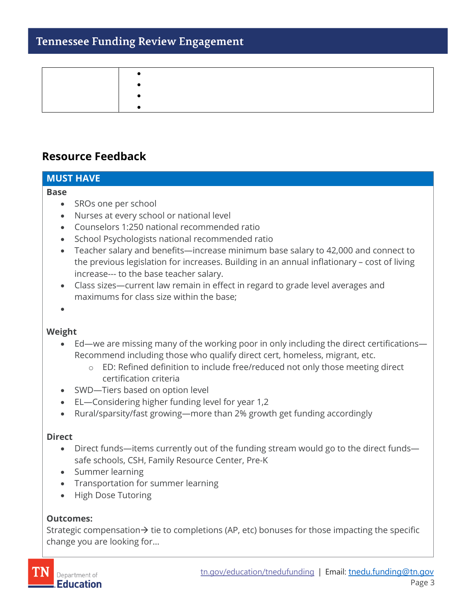## **Tennessee Funding Review Engagement**

### **Resource Feedback**

# **MUST HAVE**

#### **Base**

- SROs one per school
- Nurses at every school or national level
- Counselors 1:250 national recommended ratio
- School Psychologists national recommended ratio
- Teacher salary and benefits—increase minimum base salary to 42,000 and connect to the previous legislation for increases. Building in an annual inflationary – cost of living increase--- to the base teacher salary.
- Class sizes—current law remain in effect in regard to grade level averages and maximums for class size within the base;
- •

#### **Weight**

- Ed—we are missing many of the working poor in only including the direct certifications— Recommend including those who qualify direct cert, homeless, migrant, etc.
	- o ED: Refined definition to include free/reduced not only those meeting direct certification criteria
- SWD—Tiers based on option level
- EL—Considering higher funding level for year 1,2
- Rural/sparsity/fast growing—more than 2% growth get funding accordingly

#### **Direct**

- Direct funds—items currently out of the funding stream would go to the direct funds safe schools, CSH, Family Resource Center, Pre-K
- Summer learning
- Transportation for summer learning
- High Dose Tutoring

#### **Outcomes:**

Strategic compensation $\rightarrow$  tie to completions (AP, etc) bonuses for those impacting the specific change you are looking for…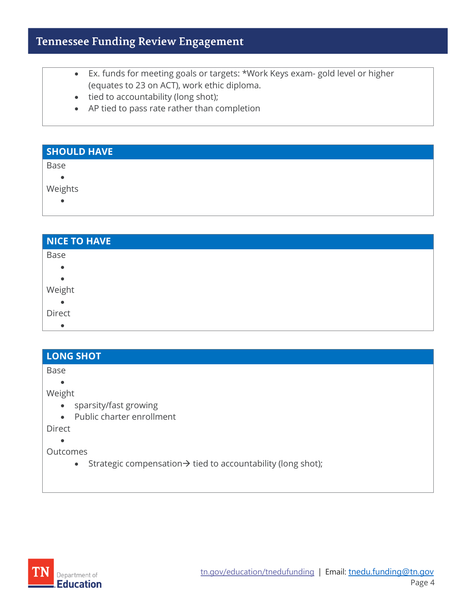# **Tennessee Funding Review Engagement**

- Ex. funds for meeting goals or targets: \*Work Keys exam- gold level or higher (equates to 23 on ACT), work ethic diploma.
- tied to accountability (long shot);
- AP tied to pass rate rather than completion

| <b>SHOULD HAVE</b> |  |
|--------------------|--|
| Base               |  |
| $\bullet$          |  |
| Weights            |  |
| $\bullet$          |  |
|                    |  |

| <b>NICE TO HAVE</b> |  |
|---------------------|--|
| Base                |  |
| $\bullet$           |  |
| $\bullet$           |  |
| Weight              |  |
| $\bullet$           |  |
| Direct              |  |
| $\bullet$           |  |

## **LONG SHOT**

Base

•

Weight

- sparsity/fast growing
- Public charter enrollment

Direct

•

**Outcomes** 

• Strategic compensation $\rightarrow$  tied to accountability (long shot);